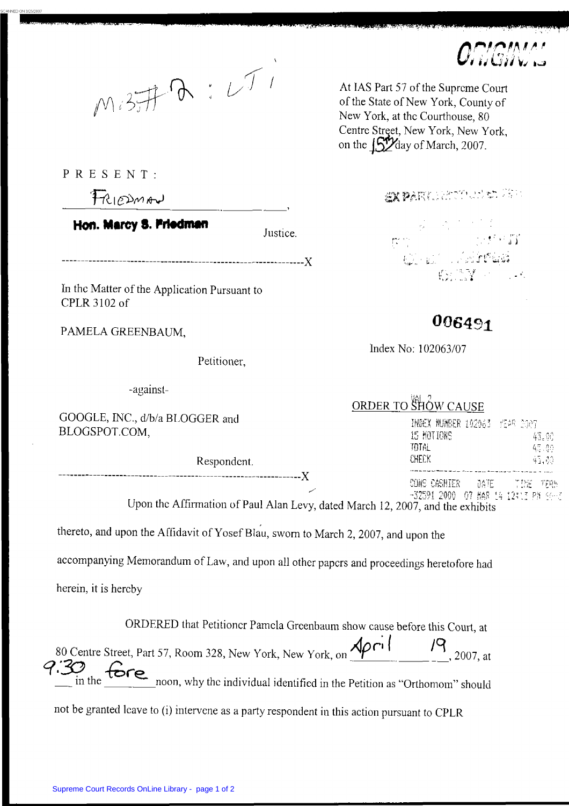

PRESENT:

FRIEDMAN

Hon. Marcy S. Friedman

-------------X

**ln** thc Matter of the Application Pursuant to CPLR 3 102 of

PAMELA GREENBAUM,

Petitioner,

-against-

GOOGL, **BLOGSI** 

## $\overline{O}$

|                                                                               | URDER TO SHOW CAUSE                 |  |
|-------------------------------------------------------------------------------|-------------------------------------|--|
| E, INC., d/b/a BLOGGER and                                                    | INDEX MUMBER 102063 YEAR 2007       |  |
| POT.COM,                                                                      | 15 MOTIONS<br>43.00                 |  |
|                                                                               | TOTAL<br>45.00                      |  |
| Respondent.                                                                   | CHECK.<br>45.00                     |  |
|                                                                               |                                     |  |
|                                                                               | SONS CASHIER DATE TIME TERM         |  |
|                                                                               | -32591 2000 07 MAR 14 12:13 PM 46-2 |  |
| Upon the Affirmation of Paul Alan Levy dated March 12, 2007, and the exhibits |                                     |  |

Affirmation of Paul Alan Levy, dated March 12, 2007, and the exhibits

Justice.

thereto, and upon the Affidavit of Yosef Blau, sworn to March 2, 2007, and upon the

accompanying Memorandum of Law, and upon all other papcrs and proceedings heretofore had

herein, it is hercby

\_\_\_\_\_\_**\_**\_\_

ORDERED that Petitioncr Pamcla Greenbaum show cause before this Court, at  $79,2007, \text{at}$  $\sum_{n=1}^{\infty}$  in the  $\sum_{n=1}^{\infty}$  noon, why the individual identified in the Petition as "Orthomom" should +.;I *19* 80 Centre Street, Part 57, Room 328, New York, New York, 011. ~. ~ **--y**  ORDERED<br><sup>80</sup>Centre Street, Part 57, 1<br>*9*.30 the <u>fore</u> noor

not be granted lcave to (i) intervene as a party respondent in this action pursuant to CPLR



At **IAS** Part 57 of the Suprcme Court of the State of New York, County of New York, at thc Courthouse, 80 Centre Street, New York, New York. on the  $\int_{\mathbb{S}} \mathcal{V}_{\text{day}}$  of March, 2007.

SK PARKEELT TELLET 25 P

til el coler

## *006491*

lridex No: 1 02O63/07